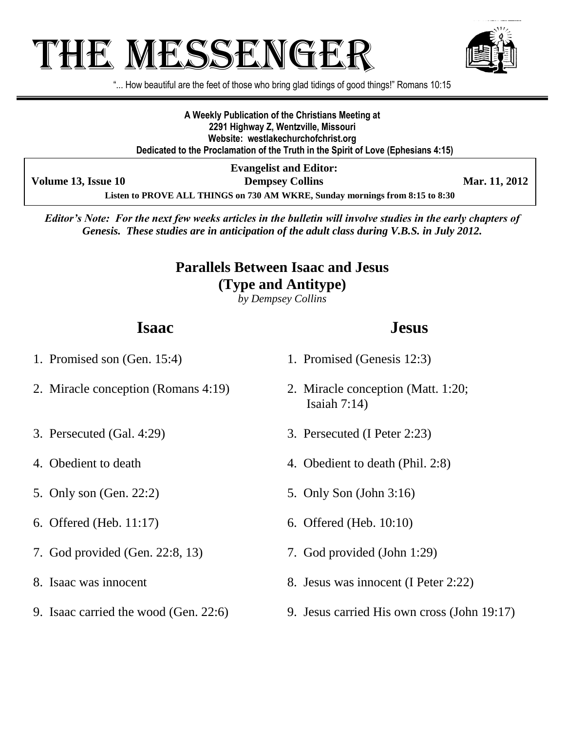# THE MESSENGE!



"... How beautiful are the feet of those who bring glad tidings of good things!" Romans 10:15

**A Weekly Publication of the Christians Meeting at 2291 Highway Z, Wentzville, Missouri Website: westlakechurchofchrist.org Dedicated to the Proclamation of the Truth in the Spirit of Love (Ephesians 4:15)**

**Evangelist and Editor:**

**Volume 13, Issue 10 Dempsey Collins Mar. 11, 2012** 

**Listen to PROVE ALL THINGS on 730 AM WKRE, Sunday mornings from 8:15 to 8:30**

*Editor's Note: For the next few weeks articles in the bulletin will involve studies in the early chapters of Genesis. These studies are in anticipation of the adult class during V.B.S. in July 2012.*

#### **Parallels Between Isaac and Jesus (Type and Antitype)**

*by Dempsey Collins*

### **Isaac**

#### **Jesus**

- 1. Promised son (Gen. 15:4) 2. Miracle conception (Romans 4:19) 3. Persecuted (Gal. 4:29) 4. Obedient to death 5. Only son (Gen. 22:2) 6. Offered (Heb. 11:17) 7. God provided (Gen. 22:8, 13) 8. Isaac was innocent 1. Promised (Genesis 12:3) 2. Miracle conception (Matt. 1:20; Isaiah 7:14) 3. Persecuted (I Peter 2:23) 4. Obedient to death (Phil. 2:8) 5. Only Son (John 3:16) 6. Offered (Heb. 10:10) 7. God provided (John 1:29) 8. Jesus was innocent (I Peter 2:22)
	- 9. Jesus carried His own cross (John 19:17)

- 
- 

9. Isaac carried the wood (Gen. 22:6)